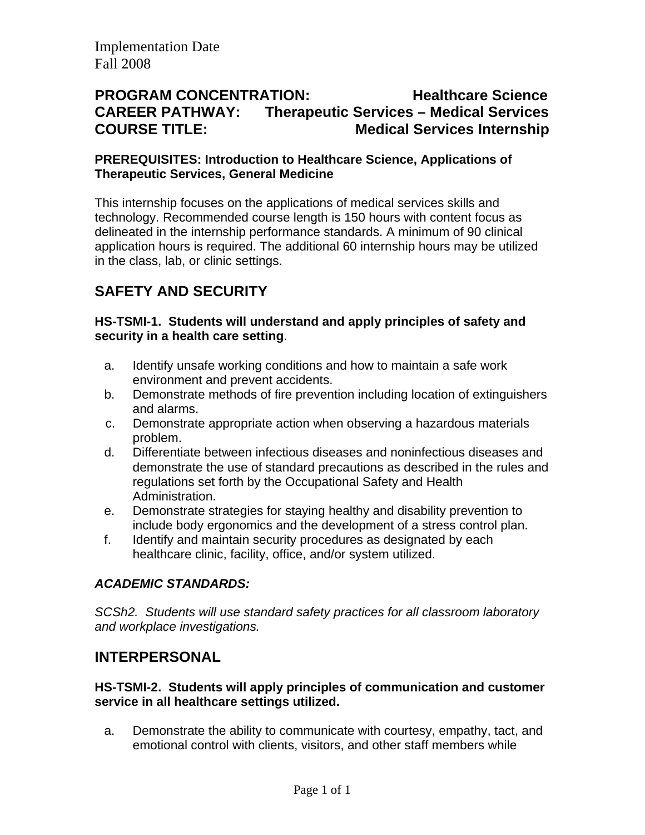## **PROGRAM CONCENTRATION: Healthcare Science CAREER PATHWAY: Therapeutic Services – Medical Services COURSE TITLE: Medical Services Internship**

#### **PREREQUISITES: Introduction to Healthcare Science, Applications of Therapeutic Services, General Medicine**

This internship focuses on the applications of medical services skills and technology. Recommended course length is 150 hours with content focus as delineated in the internship performance standards. A minimum of 90 clinical application hours is required. The additional 60 internship hours may be utilized in the class, lab, or clinic settings.

# **SAFETY AND SECURITY**

### **HS-TSMI-1. Students will understand and apply principles of safety and security in a health care setting**.

- a. Identify unsafe working conditions and how to maintain a safe work environment and prevent accidents.
- b. Demonstrate methods of fire prevention including location of extinguishers and alarms.
- c. Demonstrate appropriate action when observing a hazardous materials problem.
- d. Differentiate between infectious diseases and noninfectious diseases and demonstrate the use of standard precautions as described in the rules and regulations set forth by the Occupational Safety and Health Administration.
- e. Demonstrate strategies for staying healthy and disability prevention to include body ergonomics and the development of a stress control plan.
- f. Identify and maintain security procedures as designated by each healthcare clinic, facility, office, and/or system utilized.

### *ACADEMIC STANDARDS:*

*SCSh2. Students will use standard safety practices for all classroom laboratory and workplace investigations.* 

## **INTERPERSONAL**

#### **HS-TSMI-2. Students will apply principles of communication and customer service in all healthcare settings utilized.**

a. Demonstrate the ability to communicate with courtesy, empathy, tact, and emotional control with clients, visitors, and other staff members while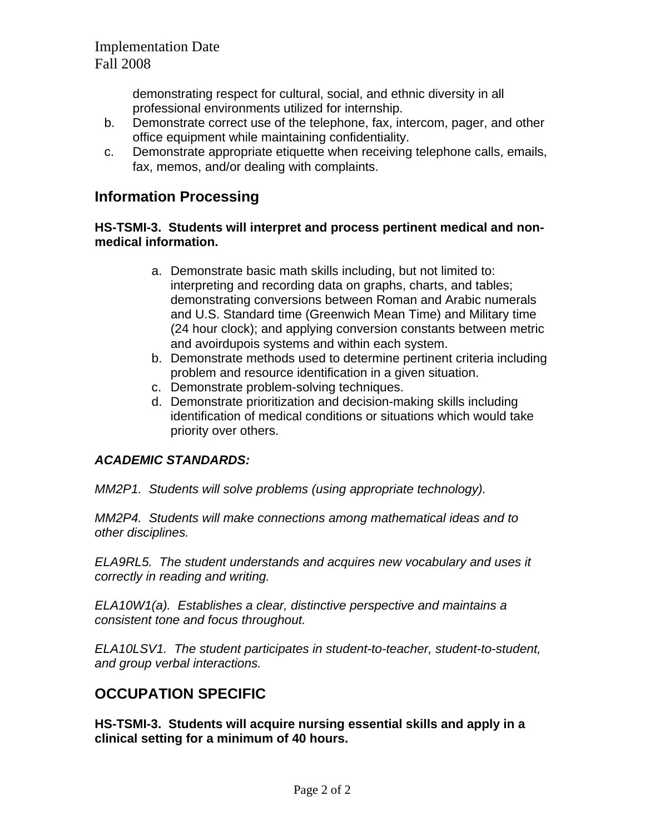demonstrating respect for cultural, social, and ethnic diversity in all professional environments utilized for internship.

- b. Demonstrate correct use of the telephone, fax, intercom, pager, and other office equipment while maintaining confidentiality.
- c. Demonstrate appropriate etiquette when receiving telephone calls, emails, fax, memos, and/or dealing with complaints.

## **Information Processing**

#### **HS-TSMI-3. Students will interpret and process pertinent medical and nonmedical information.**

- a. Demonstrate basic math skills including, but not limited to: interpreting and recording data on graphs, charts, and tables; demonstrating conversions between Roman and Arabic numerals and U.S. Standard time (Greenwich Mean Time) and Military time (24 hour clock); and applying conversion constants between metric and avoirdupois systems and within each system.
- b. Demonstrate methods used to determine pertinent criteria including problem and resource identification in a given situation.
- c. Demonstrate problem-solving techniques.
- d. Demonstrate prioritization and decision-making skills including identification of medical conditions or situations which would take priority over others.

### *ACADEMIC STANDARDS:*

*MM2P1. Students will solve problems (using appropriate technology).* 

*MM2P4. Students will make connections among mathematical ideas and to other disciplines.* 

*ELA9RL5. The student understands and acquires new vocabulary and uses it correctly in reading and writing.* 

*ELA10W1(a). Establishes a clear, distinctive perspective and maintains a consistent tone and focus throughout.* 

*ELA10LSV1. The student participates in student-to-teacher, student-to-student, and group verbal interactions.* 

## **OCCUPATION SPECIFIC**

**HS-TSMI-3. Students will acquire nursing essential skills and apply in a clinical setting for a minimum of 40 hours.**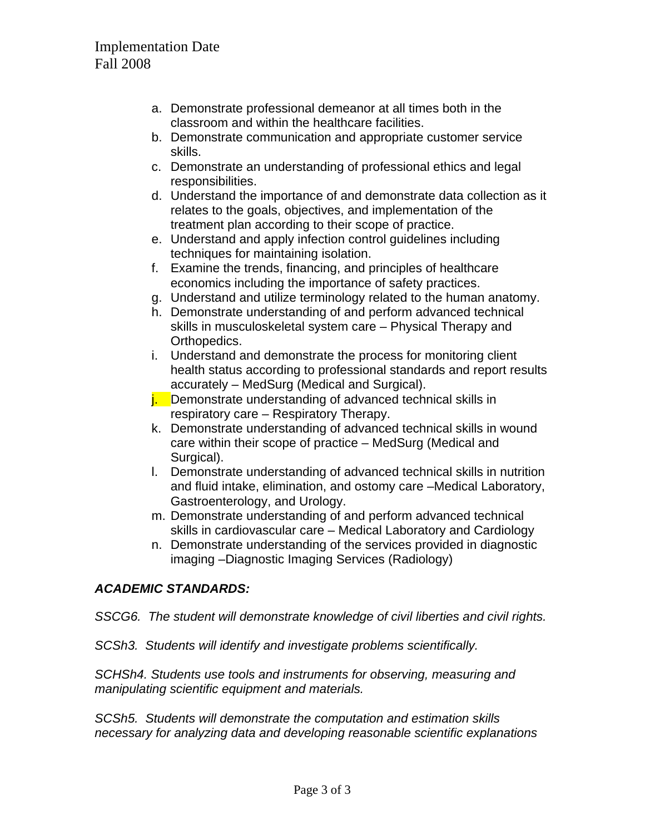- a. Demonstrate professional demeanor at all times both in the classroom and within the healthcare facilities.
- b. Demonstrate communication and appropriate customer service skills.
- c. Demonstrate an understanding of professional ethics and legal responsibilities.
- d. Understand the importance of and demonstrate data collection as it relates to the goals, objectives, and implementation of the treatment plan according to their scope of practice.
- e. Understand and apply infection control guidelines including techniques for maintaining isolation.
- f. Examine the trends, financing, and principles of healthcare economics including the importance of safety practices.
- g. Understand and utilize terminology related to the human anatomy.
- h. Demonstrate understanding of and perform advanced technical skills in musculoskeletal system care – Physical Therapy and Orthopedics.
- i. Understand and demonstrate the process for monitoring client health status according to professional standards and report results accurately – MedSurg (Medical and Surgical).
- **j.** Demonstrate understanding of advanced technical skills in respiratory care – Respiratory Therapy.
- k. Demonstrate understanding of advanced technical skills in wound care within their scope of practice – MedSurg (Medical and Surgical).
- l. Demonstrate understanding of advanced technical skills in nutrition and fluid intake, elimination, and ostomy care –Medical Laboratory, Gastroenterology, and Urology.
- m. Demonstrate understanding of and perform advanced technical skills in cardiovascular care – Medical Laboratory and Cardiology
- n. Demonstrate understanding of the services provided in diagnostic imaging –Diagnostic Imaging Services (Radiology)

### *ACADEMIC STANDARDS:*

#### *SSCG6. The student will demonstrate knowledge of civil liberties and civil rights.*

*SCSh3. Students will identify and investigate problems scientifically.* 

*SCHSh4. Students use tools and instruments for observing, measuring and manipulating scientific equipment and materials.* 

*SCSh5. Students will demonstrate the computation and estimation skills necessary for analyzing data and developing reasonable scientific explanations*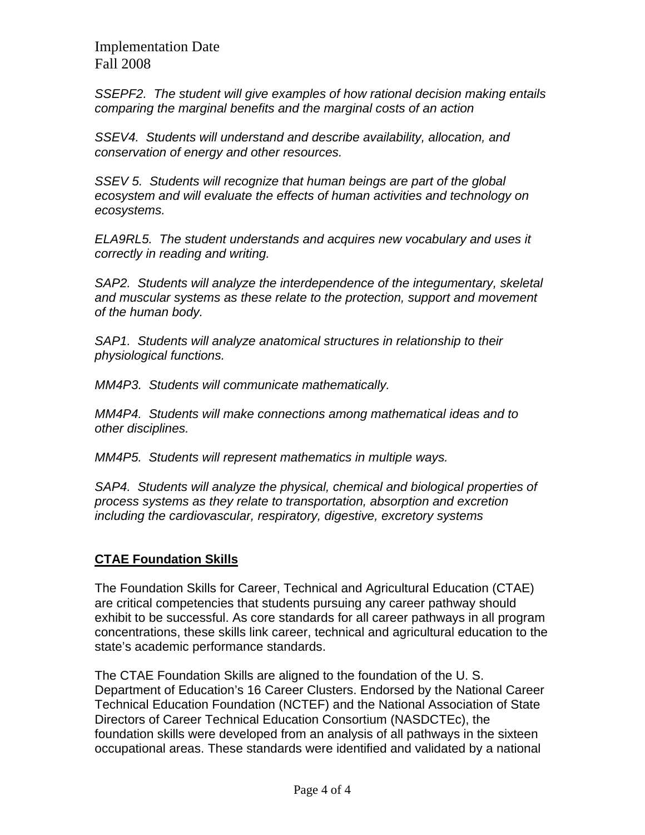Implementation Date Fall 2008

*SSEPF2. The student will give examples of how rational decision making entails comparing the marginal benefits and the marginal costs of an action* 

*SSEV4. Students will understand and describe availability, allocation, and conservation of energy and other resources.* 

*SSEV 5. Students will recognize that human beings are part of the global ecosystem and will evaluate the effects of human activities and technology on ecosystems.* 

*ELA9RL5. The student understands and acquires new vocabulary and uses it correctly in reading and writing.* 

*SAP2. Students will analyze the interdependence of the integumentary, skeletal and muscular systems as these relate to the protection, support and movement of the human body.* 

*SAP1. Students will analyze anatomical structures in relationship to their physiological functions.* 

*MM4P3. Students will communicate mathematically.* 

*MM4P4. Students will make connections among mathematical ideas and to other disciplines.* 

*MM4P5. Students will represent mathematics in multiple ways.* 

*SAP4. Students will analyze the physical, chemical and biological properties of process systems as they relate to transportation, absorption and excretion including the cardiovascular, respiratory, digestive, excretory systems* 

### **CTAE Foundation Skills**

The Foundation Skills for Career, Technical and Agricultural Education (CTAE) are critical competencies that students pursuing any career pathway should exhibit to be successful. As core standards for all career pathways in all program concentrations, these skills link career, technical and agricultural education to the state's academic performance standards.

The CTAE Foundation Skills are aligned to the foundation of the U. S. Department of Education's 16 Career Clusters. Endorsed by the National Career Technical Education Foundation (NCTEF) and the National Association of State Directors of Career Technical Education Consortium (NASDCTEc), the foundation skills were developed from an analysis of all pathways in the sixteen occupational areas. These standards were identified and validated by a national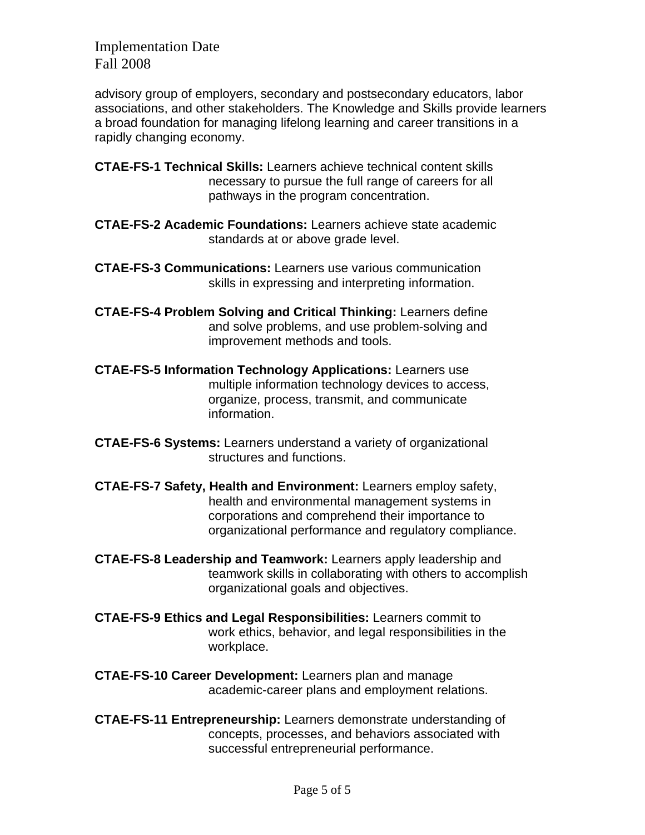Implementation Date Fall 2008

advisory group of employers, secondary and postsecondary educators, labor associations, and other stakeholders. The Knowledge and Skills provide learners a broad foundation for managing lifelong learning and career transitions in a rapidly changing economy.

- **CTAE-FS-1 Technical Skills:** Learners achieve technical content skills necessary to pursue the full range of careers for all pathways in the program concentration.
- **CTAE-FS-2 Academic Foundations:** Learners achieve state academic standards at or above grade level.
- **CTAE-FS-3 Communications:** Learners use various communication skills in expressing and interpreting information.
- **CTAE-FS-4 Problem Solving and Critical Thinking:** Learners define and solve problems, and use problem-solving and improvement methods and tools.
- **CTAE-FS-5 Information Technology Applications:** Learners use multiple information technology devices to access, organize, process, transmit, and communicate information.
- **CTAE-FS-6 Systems:** Learners understand a variety of organizational structures and functions.
- **CTAE-FS-7 Safety, Health and Environment:** Learners employ safety, health and environmental management systems in corporations and comprehend their importance to organizational performance and regulatory compliance.
- **CTAE-FS-8 Leadership and Teamwork:** Learners apply leadership and teamwork skills in collaborating with others to accomplish organizational goals and objectives.
- **CTAE-FS-9 Ethics and Legal Responsibilities:** Learners commit to work ethics, behavior, and legal responsibilities in the workplace.
- **CTAE-FS-10 Career Development:** Learners plan and manage academic-career plans and employment relations.
- **CTAE-FS-11 Entrepreneurship:** Learners demonstrate understanding of concepts, processes, and behaviors associated with successful entrepreneurial performance.